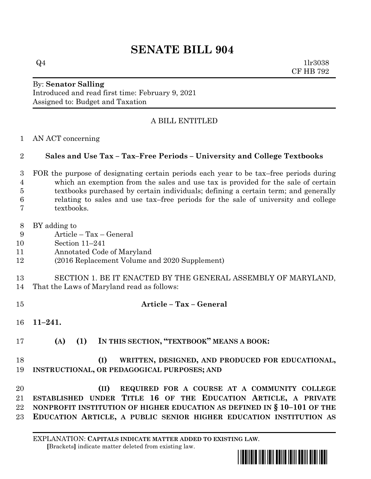# **SENATE BILL 904**

 $Q4$  1lr3038 CF HB 792

### By: **Senator Salling** Introduced and read first time: February 9, 2021 Assigned to: Budget and Taxation

## A BILL ENTITLED

AN ACT concerning

### **Sales and Use Tax – Tax–Free Periods – University and College Textbooks**

- FOR the purpose of designating certain periods each year to be tax–free periods during which an exemption from the sales and use tax is provided for the sale of certain textbooks purchased by certain individuals; defining a certain term; and generally relating to sales and use tax–free periods for the sale of university and college textbooks.
- BY adding to
- Article Tax General
- Section 11–241
- Annotated Code of Maryland
- (2016 Replacement Volume and 2020 Supplement)
- SECTION 1. BE IT ENACTED BY THE GENERAL ASSEMBLY OF MARYLAND,
- That the Laws of Maryland read as follows:
- **Article – Tax – General**
- **11–241.**
- **(A) (1) IN THIS SECTION, "TEXTBOOK" MEANS A BOOK:**

## **(I) WRITTEN, DESIGNED, AND PRODUCED FOR EDUCATIONAL, INSTRUCTIONAL, OR PEDAGOGICAL PURPOSES; AND**

 **(II) REQUIRED FOR A COURSE AT A COMMUNITY COLLEGE ESTABLISHED UNDER TITLE 16 OF THE EDUCATION ARTICLE, A PRIVATE NONPROFIT INSTITUTION OF HIGHER EDUCATION AS DEFINED IN § 10–101 OF THE EDUCATION ARTICLE, A PUBLIC SENIOR HIGHER EDUCATION INSTITUTION AS**